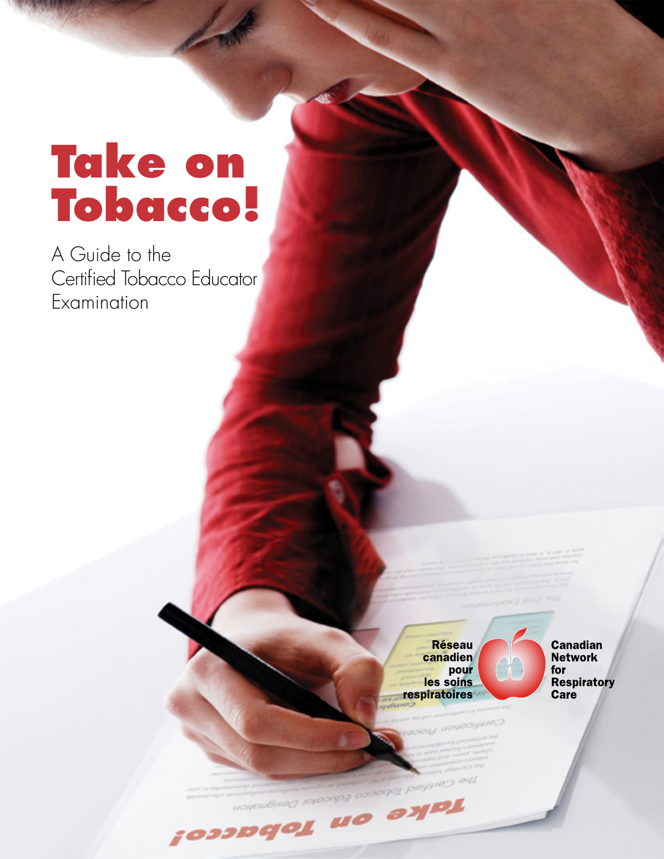## **Take on Tobacco!**

A Guide to the Certified Tobacco Educator Examination

**Réseau** canadien pour les soins respiratoires

**Canadian Network** for **Respiratory** Care

The Certified Address on Tobacco!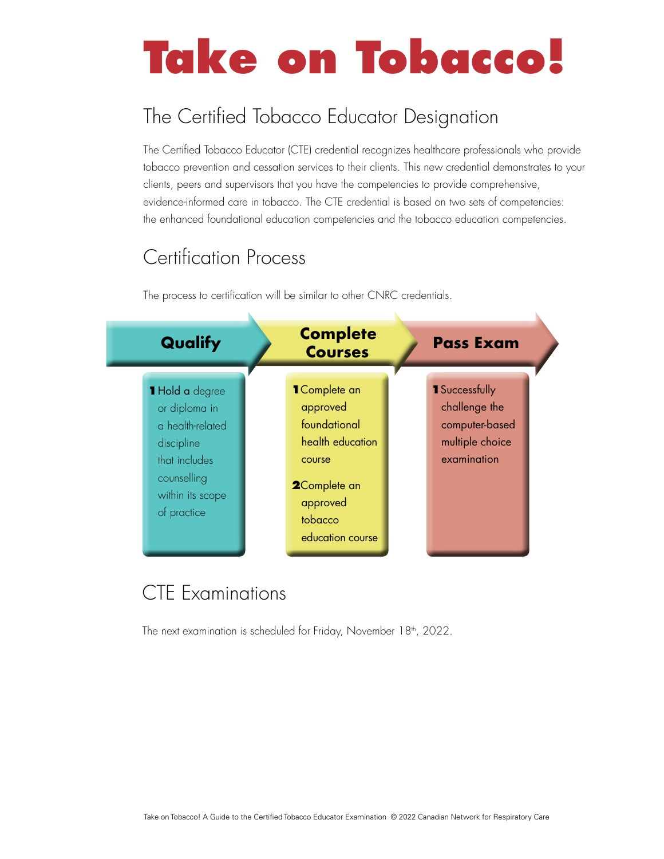# **Take on Tobacco!**

## The Certified Tobacco Educator Designation

The Certified Tobacco Educator (CTE) credential recognizes healthcare professionals who provide tobacco prevention and cessation services to their clients. This new credential demonstrates to your clients, peers and supervisors that you have the competencies to provide comprehensive, evidence-informed care in tobacco. The CTE credential is based on two sets of competencies: the enhanced foundational education competencies and the tobacco education competencies.

## Certification Process

The process to certification will be similar to other CNRC credentials.



## CTE Examinations

The next examination is scheduled for Friday, November 18<sup>th</sup>, 2022.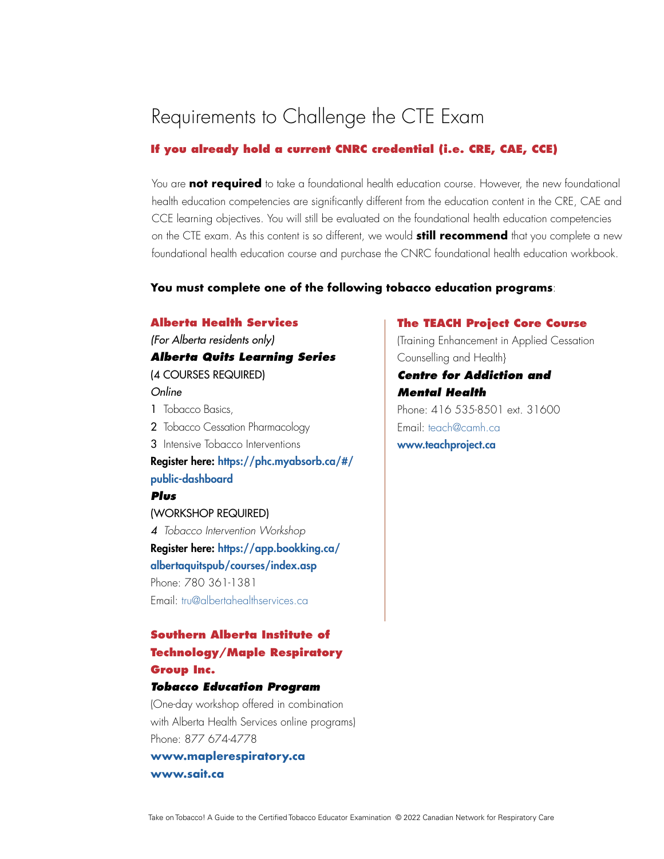## Requirements to Challenge the CTE Exam

#### **If you already hold a current CNRC credential (i.e. CRE, CAE, CCE)**

You are **not required** to take a foundational health education course. However, the new foundational health education competencies are significantly different from the education content in the CRE, CAE and CCE learning objectives. You will still be evaluated on the foundational health education competencies on the CTE exam. As this content is so different, we would **still recommend** that you complete a new foundational health education course and purchase the CNRC foundational health education workbook.

#### **You must complete one of the following tobacco education programs**:

#### **Alberta Health Services**

*(For Alberta residents only)*

#### *Alberta Quits Learning Series* (4 COURSES REQUIRED)

#### *Online*

- 1 Tobacco Basics,
- 2 Tobacco Cessation Pharmacology
- 3 Intensive Tobacco Interventions

[Register here](https://phc.myabsorb.ca/#/public-dashboard): https://phc.myabsorb.ca/#/ public-dashboard

#### *Plus*

(WORKSHOP REQUIRED) *4 Tobacco Intervention Workshop* [Register here: https://app.bookking.ca/](https://app.bookking.ca/ albertaquitspub/courses/index.asp ) [albertaquitspub/courses/index.asp](https://app.bookking.ca/ albertaquitspub/courses/index.asp ) Phone: 780 361-1381 Email: [tru@albertahealthservices.ca](mailto:tru%40albertahealthservices.ca?subject=)

#### **Southern Alberta Institute of Technology/Maple Respiratory Group Inc.**

#### *Tobacco Education Program*

(One-day workshop offered in combination with Alberta Health Services online programs) Phone: 877 674-4778

**[www.maplerespiratory.ca](http://www.maplerespiratory.ca) [www.sait.ca](http://www.sait.ca)**

#### **The TEACH Project Core Course**

(Training Enhancement in Applied Cessation Counselling and Health}

*Centre for Addiction and Mental Health* Phone: 416 535-8501 ext. 31600 Email: [teach@camh.ca](mailto:teach%40camh.ca?subject=) [www.teachproject.ca](http://www.teachproject.ca)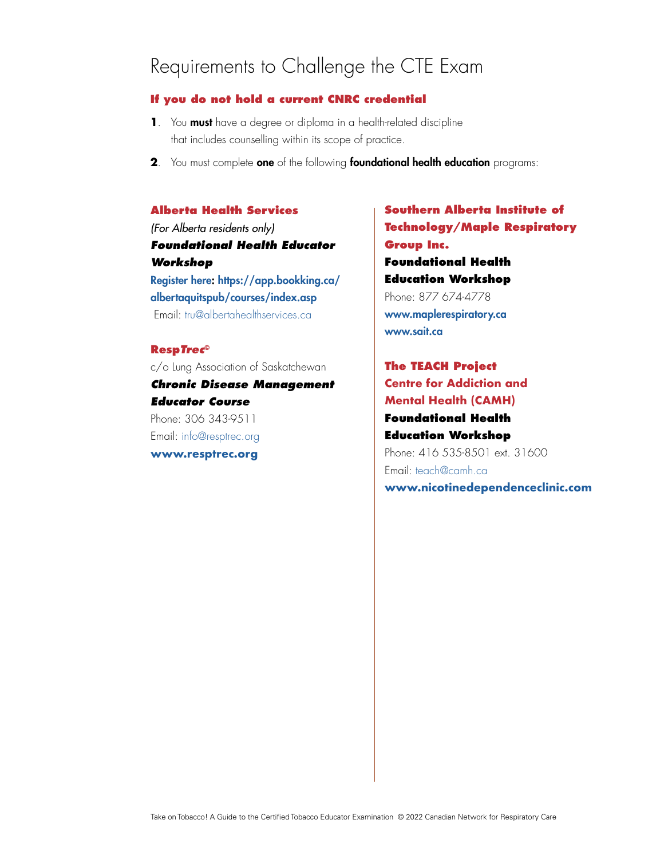## Requirements to Challenge the CTE Exam

#### **If you do not hold a current CNRC credential**

- **1**. You must have a degree or diploma in a health-related discipline that includes counselling within its scope of practice.
- **2**. You must complete one of the following foundational health education programs:

#### **Alberta Health Services**

*(For Alberta residents only) Foundational Health Educator Workshop*  [Register here](https://phc.myabsorb.ca/#/public-dashboard): https://app.bookking.ca/

albertaquitspub/courses/index.asp Email: [tru@albertahealthservices.ca](mailto:tru%40albertahealthservices.ca?subject=)

#### **Resp***Trec***©**

c/o Lung Association of Saskatchewan *Chronic Disease Management Educator Course*  Phone: 306 343-9511 Email: [info@resptrec.org](mailto:info%40resptrec.org?subject=)

**[www.resptrec.org](http://www.resptrec.org)**

### **Southern Alberta Institute of Technology/Maple Respiratory Group Inc. Foundational Health Education Workshop** Phone: 877 674-4778 [www.maplerespiratory.ca](http://www.maplerespiratory.ca) [www.sait.ca](http://www.sait.ca)

**The TEACH Project Centre for Addiction and Mental Health (CAMH) Foundational Health Education Workshop**  Phone: 416 535-8501 ext. 31600 Email: [teach@camh.ca](mailto:teach%40camh.ca?subject=) **[www.](mailto:www.teachproject.ca?subject=)nicotinedependenceclinic.com**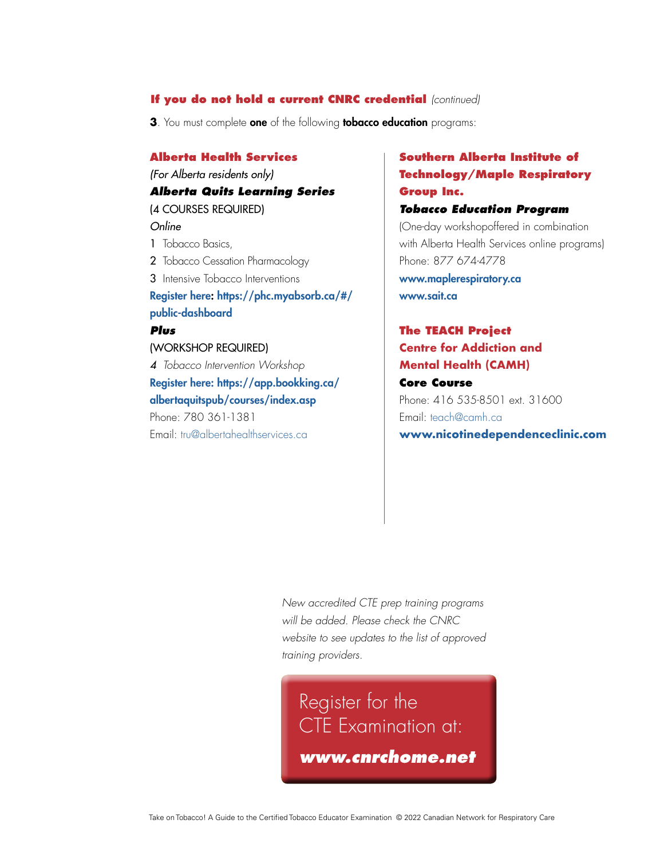#### **If you do not hold a current CNRC credential** *(continued)*

**3**. You must complete **one** of the following **tobacco education** programs:

#### **Alberta Health Services**

*(For Alberta residents only)*

#### *Alberta Quits Learning Series* (4 COURSES REQUIRED)

#### *Online*

- 1 Tobacco Basics,
- 2 Tobacco Cessation Pharmacology
- 3 Intensive Tobacco Interventions

#### [Register here](https://phc.myabsorb.ca/#/public-dashboard): https://phc.myabsorb.ca/#/ public-dashboard

#### *Plus*

#### (WORKSHOP REQUIRED)

*4 Tobacco Intervention Workshop* [Register here: https://app.bookking.ca/](https://app.bookking.ca/ albertaquitspub/courses/index.asp ) [albertaquitspub/courses/index.asp](https://app.bookking.ca/ albertaquitspub/courses/index.asp ) Phone: 780 361-1381

Email: [tru@albertahealthservices.ca](mailto:tru%40albertahealthservices.ca?subject=)

#### **Southern Alberta Institute of Technology/Maple Respiratory Group Inc.**

#### *Tobacco Education Program*

(One-day workshopoffered in combination with Alberta Health Services online programs) Phone: 877 674-4778 [www.maplerespiratory.ca](http://www.maplerespiratory.ca
) [www.sait.ca](http://www.sait.ca)

#### **The TEACH Project Centre for Addiction and Mental Health (CAMH) Core Course** Phone: 416 535-8501 ext. 31600 Email: [teach@camh.ca](mailto:teach%40camh.ca?subject=)

**[www.](mailto:www.teachproject.ca?subject=)nicotinedependenceclinic.com**

*New accredited CTE prep training programs will be added. Please check the CNRC website to see updates to the list of approved training providers.*

Register for the CTE Examination at: *[www.cnrchome.net](https://events.eply.com/CNRCExamReg)*